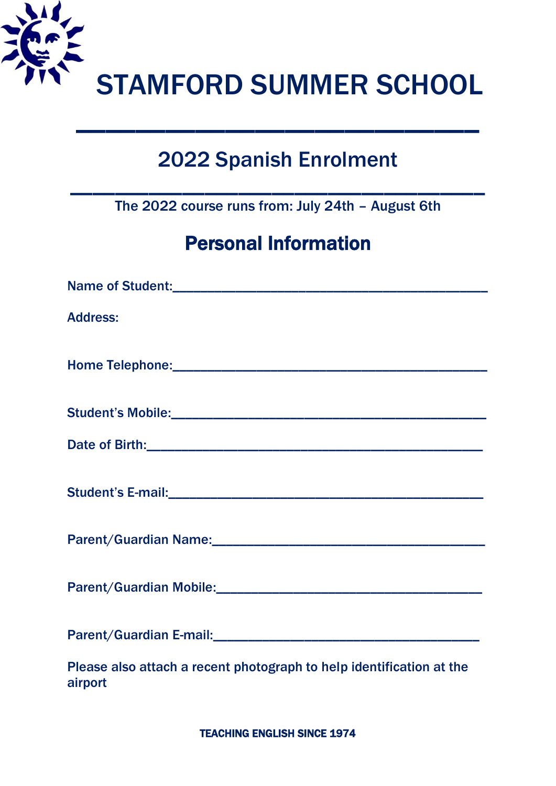

# 2022 Spanish Enrolment

\_\_\_\_\_\_\_\_\_\_\_\_\_\_\_\_\_\_\_\_\_\_\_\_\_\_\_

The 2022 course runs from: July 24th – August 6th

 $\mathcal{L}_\text{max}$  and  $\mathcal{L}_\text{max}$  and  $\mathcal{L}_\text{max}$  and  $\mathcal{L}_\text{max}$  and  $\mathcal{L}_\text{max}$ 

## Personal Information

| <b>Address:</b>                                                                 |
|---------------------------------------------------------------------------------|
|                                                                                 |
|                                                                                 |
|                                                                                 |
|                                                                                 |
|                                                                                 |
|                                                                                 |
|                                                                                 |
| Please also attach a recent photograph to help identification at the<br>airport |

TEACHING ENGLISH SINCE 1974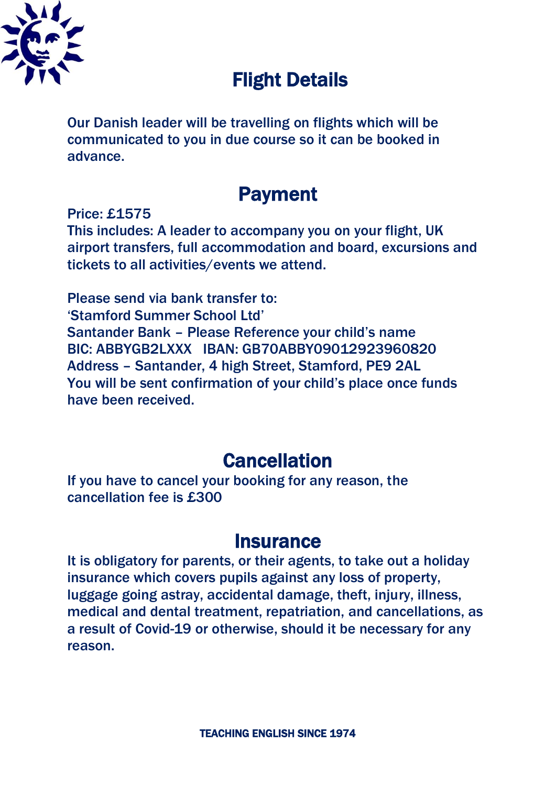

## Flight Details

Our Danish leader will be travelling on flights which will be communicated to you in due course so it can be booked in advance.

## Payment

Price: £1575 This includes: A leader to accompany you on your flight, UK airport transfers, full accommodation and board, excursions and tickets to all activities/events we attend.

Please send via bank transfer to: 'Stamford Summer School Ltd' Santander Bank – Please Reference your child's name BIC: ABBYGB2LXXX IBAN: GB70ABBY09012923960820 Address – Santander, 4 high Street, Stamford, PE9 2AL You will be sent confirmation of your child's place once funds have been received.

### **Cancellation**

If you have to cancel your booking for any reason, the cancellation fee is £300

#### **Insurance**

It is obligatory for parents, or their agents, to take out a holiday insurance which covers pupils against any loss of property, luggage going astray, accidental damage, theft, injury, illness, medical and dental treatment, repatriation, and cancellations, as a result of Covid-19 or otherwise, should it be necessary for any reason.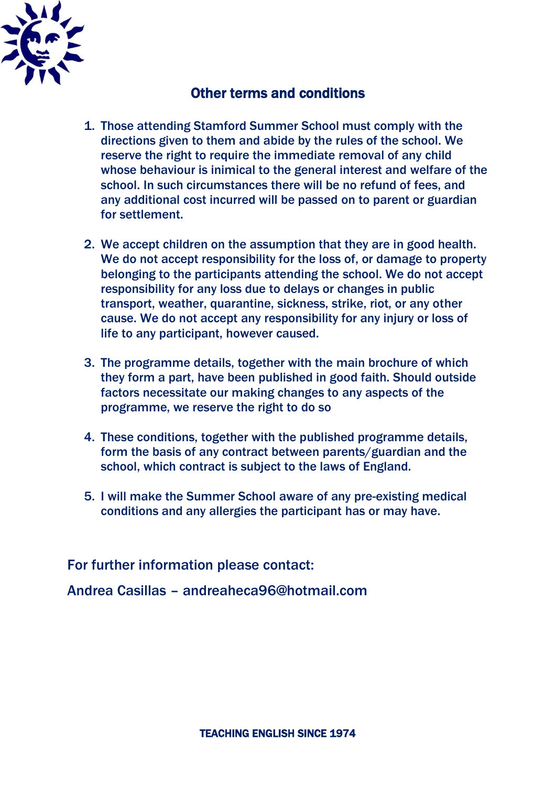

#### Other terms and conditions

- 1. Those attending Stamford Summer School must comply with the directions given to them and abide by the rules of the school. We reserve the right to require the immediate removal of any child whose behaviour is inimical to the general interest and welfare of the school. In such circumstances there will be no refund of fees, and any additional cost incurred will be passed on to parent or guardian for settlement.
- 2. We accept children on the assumption that they are in good health. We do not accept responsibility for the loss of, or damage to property belonging to the participants attending the school. We do not accept responsibility for any loss due to delays or changes in public transport, weather, quarantine, sickness, strike, riot, or any other cause. We do not accept any responsibility for any injury or loss of life to any participant, however caused.
- 3. The programme details, together with the main brochure of which they form a part, have been published in good faith. Should outside factors necessitate our making changes to any aspects of the programme, we reserve the right to do so
- 4. These conditions, together with the published programme details, form the basis of any contract between parents/guardian and the school, which contract is subject to the laws of England.
- 5. I will make the Summer School aware of any pre-existing medical conditions and any allergies the participant has or may have.

For further information please contact:

Andrea Casillas – andreaheca96@hotmail.com